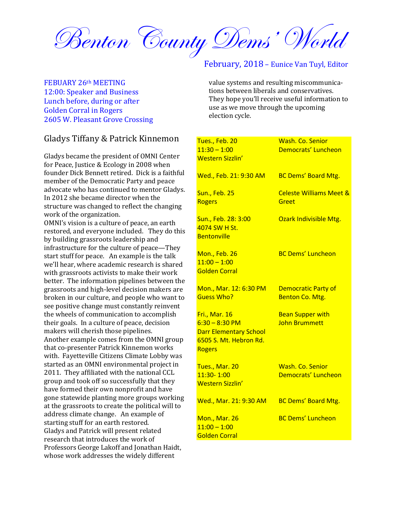Benton County Dems' World

#### FEBUARY 26th MEETING 12:00: Speaker and Business Lunch before, during or after Golden Corral in Rogers 2605 W. Pleasant Grove Crossing

# Gladys Tiffany & Patrick Kinnemon

Gladys became the president of OMNI Center for Peace, Justice & Ecology in 2008 when founder Dick Bennett retired. Dick is a faithful member of the Democratic Party and peace advocate who has continued to mentor Gladys. In 2012 she became director when the structure was changed to reflect the changing work of the organization.

OMNI's vision is a culture of peace, an earth restored, and everyone included. They do this by building grassroots leadership and infrastructure for the culture of peace—They start stuff for peace. An example is the talk we'll hear, where academic research is shared with grassroots activists to make their work better. The information pipelines between the grassroots and high-level decision makers are broken in our culture, and people who want to see positive change must constantly reinvent the wheels of communication to accomplish their goals. In a culture of peace, decision makers will cherish those pipelines. Another example comes from the OMNI group that co-presenter Patrick Kinnemon works with. Fayetteville Citizens Climate Lobby was started as an OMNI environmental project in 2011. They affiliated with the national CCL group and took off so successfully that they have formed their own nonprofit and have gone statewide planting more groups working at the grassroots to create the political will to address climate change. An example of starting stuff for an earth restored. Gladys and Patrick will present related research that introduces the work of Professors George Lakoff and Jonathan Haidt, whose work addresses the widely different

## February, 2018 – Eunice Van Tuyl, Editor

value systems and resulting miscommunications between liberals and conservatives. They hope you'll receive useful information to use as we move through the upcoming election cycle.

| Tues., Feb. 20<br>$11:30 - 1:00$<br><b>Western Sizzlin'</b>                                                    | Wash. Co. Senior<br>Democrats' Luncheon         |
|----------------------------------------------------------------------------------------------------------------|-------------------------------------------------|
| Wed., Feb. 21: 9:30 AM                                                                                         | <b>BC Dems' Board Mtg.</b>                      |
| <b>Sun., Feb. 25</b><br><b>Rogers</b>                                                                          | <b>Celeste Williams Meet &amp;</b><br>Greet     |
| Sun., Feb. 28: 3:00<br>4074 SW H St.<br><b>Bentonville</b>                                                     | Ozark Indivisible Mtg.                          |
| Mon., Feb. 26<br>$11:00 - 1:00$<br><b>Golden Corral</b>                                                        | <b>BC Dems' Luncheon</b>                        |
| Mon., Mar. 12: 6:30 PM<br><b>Guess Who?</b>                                                                    | <b>Democratic Party of</b><br>Benton Co. Mtg.   |
| Fri., Mar. 16<br>$6:30 - 8:30 P$ M<br><b>Darr Elementary School</b><br>6505 S. Mt. Hebron Rd.<br><b>Rogers</b> | <b>Bean Supper with</b><br><b>John Brummett</b> |
| Tues., Mar. 20<br>11:30-1:00<br><b>Western Sizzlin'</b>                                                        | <b>Wash. Co. Senior</b><br>Democrats' Luncheon  |
| Wed., Mar. 21: 9:30 AM                                                                                         | <b>BC Dems' Board Mtg.</b>                      |
| <b>Mon., Mar. 26</b><br>$11:00 - 1:00$<br><b>Golden Corral</b>                                                 | <b>BC Dems' Luncheon</b>                        |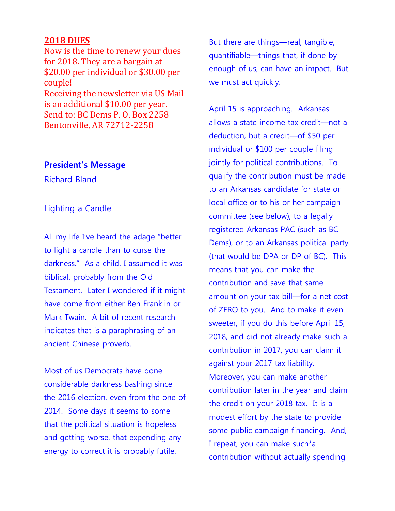# **2018 DUES**

Now is the time to renew your dues for 2018. They are a bargain at \$20.00 per individual or \$30.00 per couple! Receiving the newsletter via US Mail is an additional \$10.00 per year. Send to: BC Dems P. O. Box 2258 Bentonville, AR 72712-2258

### **President's Message**

Richard Bland

# Lighting a Candle

All my life I've heard the adage "better to light a candle than to curse the darkness." As a child, I assumed it was biblical, probably from the Old Testament. Later I wondered if it might have come from either Ben Franklin or Mark Twain. A bit of recent research indicates that is a paraphrasing of an ancient Chinese proverb.

Most of us Democrats have done considerable darkness bashing since the 2016 election, even from the one of 2014. Some days it seems to some that the political situation is hopeless and getting worse, that expending any energy to correct it is probably futile.

But there are things—real, tangible, quantifiable—things that, if done by enough of us, can have an impact. But we must act quickly.

April 15 is approaching. Arkansas allows a state income tax credit—not a deduction, but a credit—of \$50 per individual or \$100 per couple filing jointly for political contributions. To qualify the contribution must be made to an Arkansas candidate for state or local office or to his or her campaign committee (see below), to a legally registered Arkansas PAC (such as BC Dems), or to an Arkansas political party (that would be DPA or DP of BC). This means that you can make the contribution and save that same amount on your tax bill—for a net cost of ZERO to you. And to make it even sweeter, if you do this before April 15, 2018, and did not already make such a contribution in 2017, you can claim it against your 2017 tax liability. Moreover, you can make another contribution later in the year and claim the credit on your 2018 tax. It is a modest effort by the state to provide some public campaign financing. And, I repeat, you can make such\*a contribution without actually spending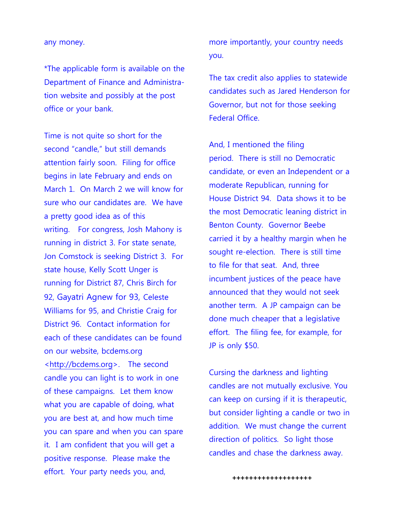#### any money.

\*The applicable form is available on the Department of Finance and Administration website and possibly at the post office or your bank.

Time is not quite so short for the second "candle," but still demands attention fairly soon. Filing for office begins in late February and ends on March 1. On March 2 we will know for sure who our candidates are. We have a pretty good idea as of this writing. For congress, Josh Mahony is running in district 3. For state senate, Jon Comstock is seeking District 3. For state house, Kelly Scott Unger is running for District 87, Chris Birch for 92, Gayatri Agnew for 93, Celeste Williams for 95, and Christie Craig for District 96. Contact information for each of these candidates can be found on our website, bcdems.org [<http://bcdems.org>](http://bcdems.org/). The second candle you can light is to work in one of these campaigns. Let them know what you are capable of doing, what you are best at, and how much time you can spare and when you can spare it. I am confident that you will get a positive response. Please make the effort. Your party needs you, and,

more importantly, your country needs you.

The tax credit also applies to statewide candidates such as Jared Henderson for Governor, but not for those seeking Federal Office.

And, I mentioned the filing period. There is still no Democratic candidate, or even an Independent or a moderate Republican, running for House District 94. Data shows it to be the most Democratic leaning district in Benton County. Governor Beebe carried it by a healthy margin when he sought re-election. There is still time to file for that seat. And, three incumbent justices of the peace have announced that they would not seek another term. A JP campaign can be done much cheaper that a legislative effort. The filing fee, for example, for JP is only \$50.

Cursing the darkness and lighting candles are not mutually exclusive. You can keep on cursing if it is therapeutic, but consider lighting a candle or two in addition. We must change the current direction of politics. So light those candles and chase the darkness away.

**+++++++++++++++++++**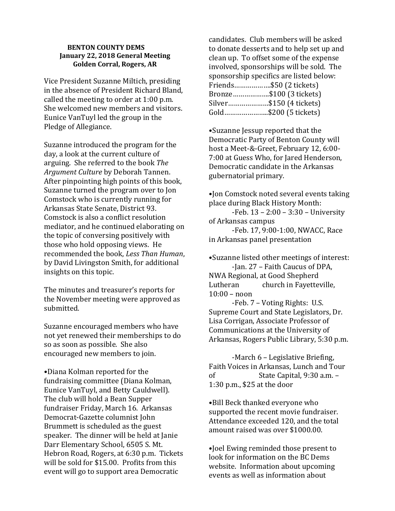#### **BENTON COUNTY DEMS January 22, 2018 General Meeting Golden Corral, Rogers, AR**

Vice President Suzanne Miltich, presiding in the absence of President Richard Bland, called the meeting to order at 1:00 p.m. She welcomed new members and visitors. Eunice VanTuyl led the group in the Pledge of Allegiance.

Suzanne introduced the program for the day, a look at the current culture of arguing. She referred to the book *The Argument Culture* by Deborah Tannen. After pinpointing high points of this book, Suzanne turned the program over to Jon Comstock who is currently running for Arkansas State Senate, District 93. Comstock is also a conflict resolution mediator, and he continued elaborating on the topic of conversing positively with those who hold opposing views. He recommended the book, *Less Than Human*, by David Livingston Smith, for additional insights on this topic.

The minutes and treasurer's reports for the November meeting were approved as submitted.

Suzanne encouraged members who have not yet renewed their memberships to do so as soon as possible. She also encouraged new members to join.

•Diana Kolman reported for the fundraising committee (Diana Kolman, Eunice VanTuyl, and Betty Cauldwell). The club will hold a Bean Supper fundraiser Friday, March 16. Arkansas Democrat-Gazette columnist John Brummett is scheduled as the guest speaker. The dinner will be held at Janie Darr Elementary School, 6505 S. Mt. Hebron Road, Rogers, at 6:30 p.m. Tickets will be sold for \$15.00. Profits from this event will go to support area Democratic

candidates. Club members will be asked to donate desserts and to help set up and clean up. To offset some of the expense involved, sponsorships will be sold. The sponsorship specifics are listed below: Friends……………….\$50 (2 tickets) Bronze……………….\$100 (3 tickets) Silver…………………\$150 (4 tickets) Gold…………………..\$200 (5 tickets)

•Suzanne Jessup reported that the Democratic Party of Benton County will host a Meet-&-Greet, February 12, 6:00- 7:00 at Guess Who, for Jared Henderson, Democratic candidate in the Arkansas gubernatorial primary.

•Jon Comstock noted several events taking place during Black History Month:

-Feb. 13 – 2:00 – 3:30 – University of Arkansas campus

-Feb. 17, 9:00-1:00, NWACC, Race in Arkansas panel presentation

•Suzanne listed other meetings of interest: -Jan. 27 – Faith Caucus of DPA, NWA Regional, at Good Shepherd Lutheran church in Fayetteville, 10:00 – noon

-Feb. 7 – Voting Rights: U.S. Supreme Court and State Legislators, Dr. Lisa Corrigan, Associate Professor of Communications at the University of Arkansas, Rogers Public Library, 5:30 p.m.

-March 6 – Legislative Briefing, Faith Voices in Arkansas, Lunch and Tour of State Capital, 9:30 a.m. – 1:30 p.m., \$25 at the door

•Bill Beck thanked everyone who supported the recent movie fundraiser. Attendance exceeded 120, and the total amount raised was over \$1000.00.

•Joel Ewing reminded those present to look for information on the BC Dems website. Information about upcoming events as well as information about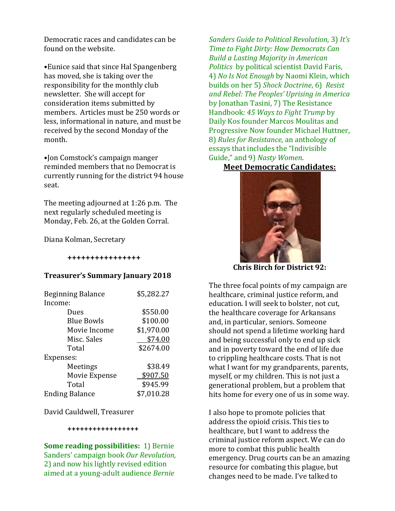Democratic races and candidates can be found on the website.

•Eunice said that since Hal Spangenberg has moved, she is taking over the responsibility for the monthly club newsletter. She will accept for consideration items submitted by members. Articles must be 250 words or less, informational in nature, and must be received by the second Monday of the month.

•Jon Comstock's campaign manger reminded members that no Democrat is currently running for the district 94 house seat.

The meeting adjourned at 1:26 p.m. The next regularly scheduled meeting is Monday, Feb. 26, at the Golden Corral.

Diana Kolman, Secretary

**++++++++++++++++** 

#### **Treasurer's Summary January 2018**

| <b>Beginning Balance</b> | \$5,282.27 |
|--------------------------|------------|
| Income:                  |            |
| Dues                     | \$550.00   |
| <b>Blue Bowls</b>        | \$100.00   |
| Movie Income             | \$1,970.00 |
| Misc. Sales              | \$74.00    |
| Total                    | \$2674.00  |
| Expenses:                |            |
| Meetings                 | \$38.49    |
| Movie Expense            | \$907.50   |
| Total                    | \$945.99   |
| <b>Ending Balance</b>    | \$7,010.28 |

David Cauldwell, Treasurer

#### **+++++++++++++++++**

**Some reading possibilities:** 1) Bernie Sanders' campaign book *Our Revolution,*  2) and now his lightly revised edition aimed at a young-adult audience *Bernie* 

*Sanders Guide to Political Revolution,* 3) *It's Time to Fight Dirty: How Democrats Can Build a Lasting Majority in American Politics* by political scientist David Faris, 4) *No Is Not Enough* by Naomi Klein, which builds on her 5) *Shock Doctrine*, 6) *Resist and Rebel: The Peoples' Uprising in America* by Jonathan Tasini, 7) The Resistance Handbook*: 45 Ways to Fight Trump* by Daily Kos founder Marcos Moulitas and Progressive Now founder Michael Huttner, 8) *Rules for Resistance,* an anthology of essays that includes the "Indivisible Guide," and 9) *Nasty Women.*

**Meet Democratic Candidates:**



**Chris Birch for District 92:**

The three focal points of my campaign are healthcare, criminal justice reform, and education. I will seek to bolster, not cut, the healthcare coverage for Arkansans and, in particular, seniors. Someone should not spend a lifetime working hard and being successful only to end up sick and in poverty toward the end of life due to crippling healthcare costs. That is not what I want for my grandparents, parents, myself, or my children. This is not just a generational problem, but a problem that hits home for every one of us in some way.

I also hope to promote policies that address the opioid crisis. This ties to healthcare, but I want to address the criminal justice reform aspect. We can do more to combat this public health emergency. Drug courts can be an amazing resource for combating this plague, but changes need to be made. I've talked to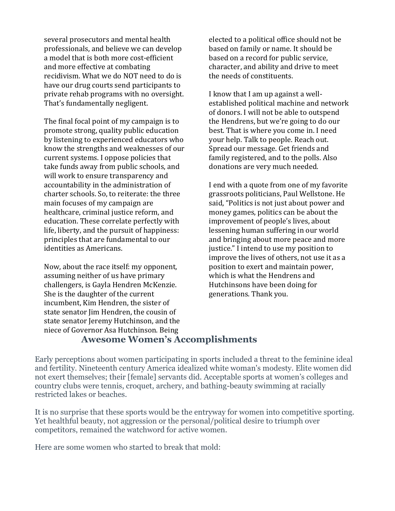several prosecutors and mental health professionals, and believe we can develop a model that is both more cost-efficient and more effective at combating recidivism. What we do NOT need to do is have our drug courts send participants to private rehab programs with no oversight. That's fundamentally negligent.

The final focal point of my campaign is to promote strong, quality public education by listening to experienced educators who know the strengths and weaknesses of our current systems. I oppose policies that take funds away from public schools, and will work to ensure transparency and accountability in the administration of charter schools. So, to reiterate: the three main focuses of my campaign are healthcare, criminal justice reform, and education. These correlate perfectly with life, liberty, and the pursuit of happiness: principles that are fundamental to our identities as Americans.

Now, about the race itself: my opponent, assuming neither of us have primary challengers, is Gayla Hendren McKenzie. She is the daughter of the current incumbent, Kim Hendren, the sister of state senator Jim Hendren, the cousin of state senator Jeremy Hutchinson, and the niece of Governor Asa Hutchinson. Being

elected to a political office should not be based on family or name. It should be based on a record for public service, character, and ability and drive to meet the needs of constituents.

I know that I am up against a wellestablished political machine and network of donors. I will not be able to outspend the Hendrens, but we're going to do our best. That is where you come in. I need your help. Talk to people. Reach out. Spread our message. Get friends and family registered, and to the polls. Also donations are very much needed.

I end with a quote from one of my favorite grassroots politicians, Paul Wellstone. He said, "Politics is not just about power and money games, politics can be about the improvement of people's lives, about lessening human suffering in our world and bringing about more peace and more justice." I intend to use my position to improve the lives of others, not use it as a position to exert and maintain power, which is what the Hendrens and Hutchinsons have been doing for generations. Thank you.

# **Awesome Women's Accomplishments**

Early perceptions about women participating in sports included a threat to the feminine ideal and fertility. Nineteenth century America idealized white woman's modesty. Elite women did not exert themselves; their [female] servants did. Acceptable sports at women's colleges and country clubs were tennis, croquet, archery, and bathing-beauty swimming at racially restricted lakes or beaches.

It is no surprise that these sports would be the entryway for women into competitive sporting. Yet healthful beauty, not aggression or the personal/political desire to triumph over competitors, remained the watchword for active women.

Here are some women who started to break that mold: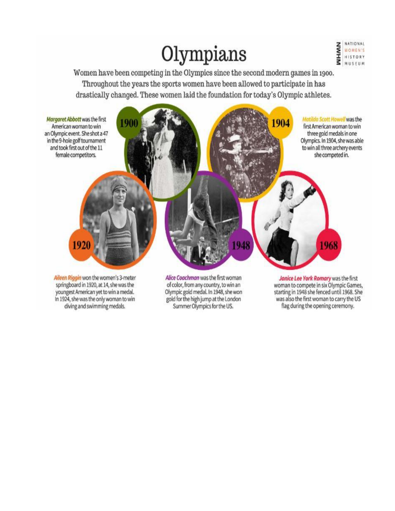# Olympians



Women have been competing in the Olympics since the second modern games in 1900. Throughout the years the sports women have been allowed to participate in has drastically changed. These women laid the foundation for today's Olympic athletes.



In 1924, she was the only woman to win diving and swimming medals.

gold for the high jump at the London Summer Olympics for the US.

was also the first woman to carry the US flag during the opening ceremony.